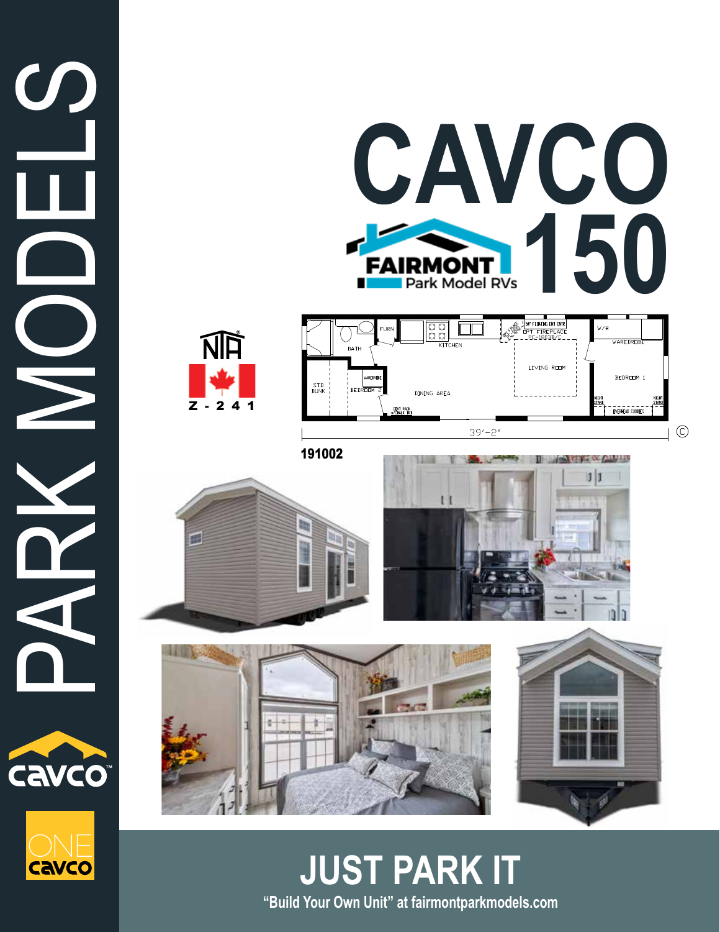











191002









**"Build Your Own Unit" at fairmontparkmodels.com JUST PARK IT**